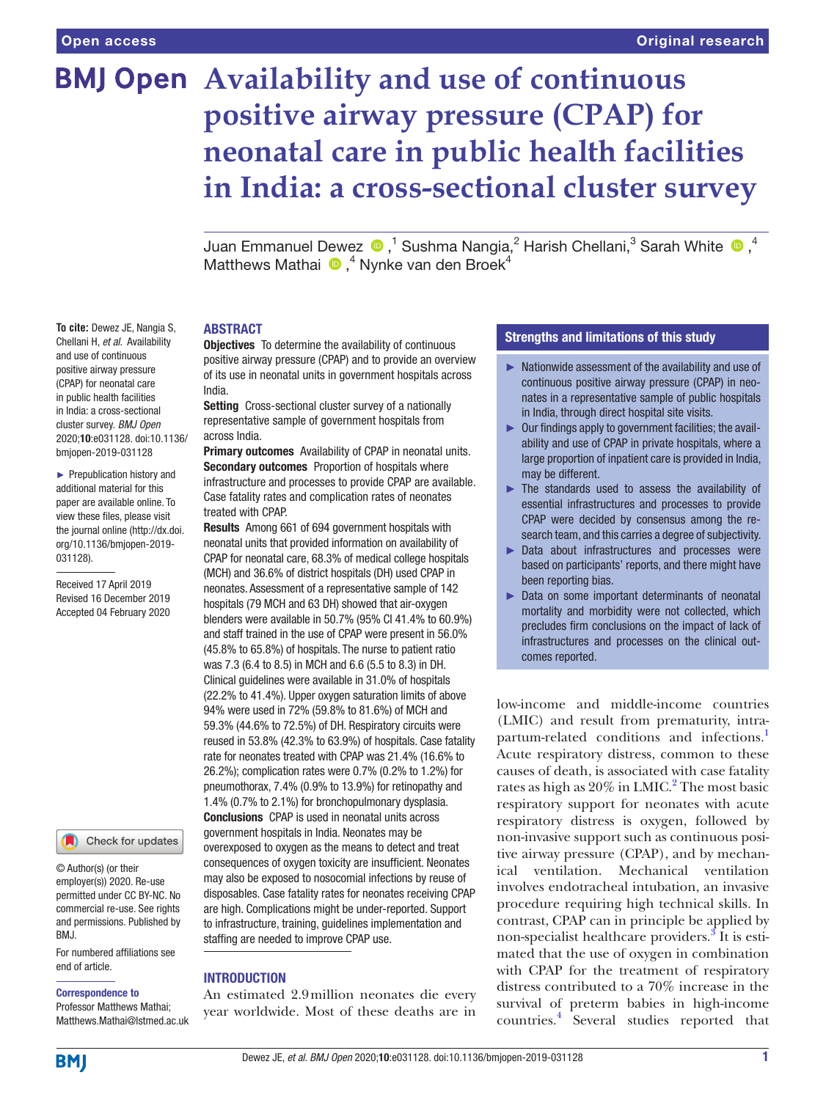# **BMJ Open** Availability and use of continuous **positive airway pressure (CPAP) for neonatal care in public health facilities in India: a cross-sectional cluster survey**

JuanEmmanuel Dewez  $\bigcirc$  ,<sup>1</sup> Sushma Nangia,<sup>2</sup> Harish Chellani,<sup>3</sup> Sarah White  $\bigcirc$  ,<sup>4</sup> Matthews Mathai <sup>®</sup>,<sup>4</sup> Nynke van den Broek<sup>4</sup>

#### **ABSTRACT**

**Objectives** To determine the availability of continuous positive airway pressure (CPAP) and to provide an overview of its use in neonatal units in government hospitals across India.

Setting Cross-sectional cluster survey of a nationally representative sample of government hospitals from across India.

Primary outcomes Availability of CPAP in neonatal units. Secondary outcomes Proportion of hospitals where infrastructure and processes to provide CPAP are available. Case fatality rates and complication rates of neonates treated with CPAP.

Results Among 661 of 694 government hospitals with neonatal units that provided information on availability of CPAP for neonatal care, 68.3% of medical college hospitals (MCH) and 36.6% of district hospitals (DH) used CPAP in neonates. Assessment of a representative sample of 142 hospitals (79 MCH and 63 DH) showed that air-oxygen blenders were available in 50.7% (95% CI 41.4% to 60.9%) and staff trained in the use of CPAP were present in 56.0% (45.8% to 65.8%) of hospitals. The nurse to patient ratio was 7.3 (6.4 to 8.5) in MCH and 6.6 (5.5 to 8.3) in DH. Clinical guidelines were available in 31.0% of hospitals (22.2% to 41.4%). Upper oxygen saturation limits of above 94% were used in 72% (59.8% to 81.6%) of MCH and 59.3% (44.6% to 72.5%) of DH. Respiratory circuits were reused in 53.8% (42.3% to 63.9%) of hospitals. Case fatality rate for neonates treated with CPAP was 21.4% (16.6% to 26.2%); complication rates were 0.7% (0.2% to 1.2%) for pneumothorax, 7.4% (0.9% to 13.9%) for retinopathy and 1.4% (0.7% to 2.1%) for bronchopulmonary dysplasia. Conclusions CPAP is used in neonatal units across government hospitals in India. Neonates may be overexposed to oxygen as the means to detect and treat consequences of oxygen toxicity are insufficient. Neonates may also be exposed to nosocomial infections by reuse of disposables. Case fatality rates for neonates receiving CPAP are high. Complications might be under-reported. Support to infrastructure, training, guidelines implementation and staffing are needed to improve CPAP use.

#### **INTRODUCTION**

An estimated 2.9million neonates die every year worldwide. Most of these deaths are in

# Strengths and limitations of this study

- ► Nationwide assessment of the availability and use of continuous positive airway pressure (CPAP) in neonates in a representative sample of public hospitals in India, through direct hospital site visits.
- ► Our findings apply to government facilities; the availability and use of CPAP in private hospitals, where a large proportion of inpatient care is provided in India, may be different.
- ► The standards used to assess the availability of essential infrastructures and processes to provide CPAP were decided by consensus among the research team, and this carries a degree of subjectivity.
- ► Data about infrastructures and processes were based on participants' reports, and there might have been reporting bias.
- ► Data on some important determinants of neonatal mortality and morbidity were not collected, which precludes firm conclusions on the impact of lack of infrastructures and processes on the clinical outcomes reported.

low-income and middle-income countries (LMIC) and result from prematurity, intra-partum-related conditions and infections.<sup>[1](#page-7-0)</sup> Acute respiratory distress, common to these causes of death, is associated with case fatality rates as high as  $20\%$  $20\%$  in LMIC.<sup>2</sup> The most basic respiratory support for neonates with acute respiratory distress is oxygen, followed by non-invasive support such as continuous positive airway pressure (CPAP), and by mechanical ventilation. Mechanical ventilation involves endotracheal intubation, an invasive procedure requiring high technical skills. In contrast, CPAP can in principle be applied by non-specialist healthcare providers.<sup>[3](#page-7-2)</sup> It is estimated that the use of oxygen in combination with CPAP for the treatment of respiratory distress contributed to a 70% increase in the survival of preterm babies in high-income countries.[4](#page-7-3) Several studies reported that

**To cite:** Dewez JE, Nangia S, Chellani H, *et al*. Availability and use of continuous positive airway pressure (CPAP) for neonatal care in public health facilities in India: a cross-sectional cluster survey. *BMJ Open* 2020;10:e031128. doi:10.1136/ bmjopen-2019-031128

► Prepublication history and additional material for this paper are available online. To view these files, please visit the journal online (http://dx.doi. org/10.1136/bmjopen-2019- 031128).

Received 17 April 2019 Revised 16 December 2019 Accepted 04 February 2020

Check for updates

© Author(s) (or their employer(s)) 2020. Re-use permitted under CC BY-NC. No commercial re-use. See rights and permissions. Published by BMJ.

For numbered affiliations see end of article.

#### Correspondence to

Professor Matthews Mathai; Matthews.Mathai@lstmed.ac.uk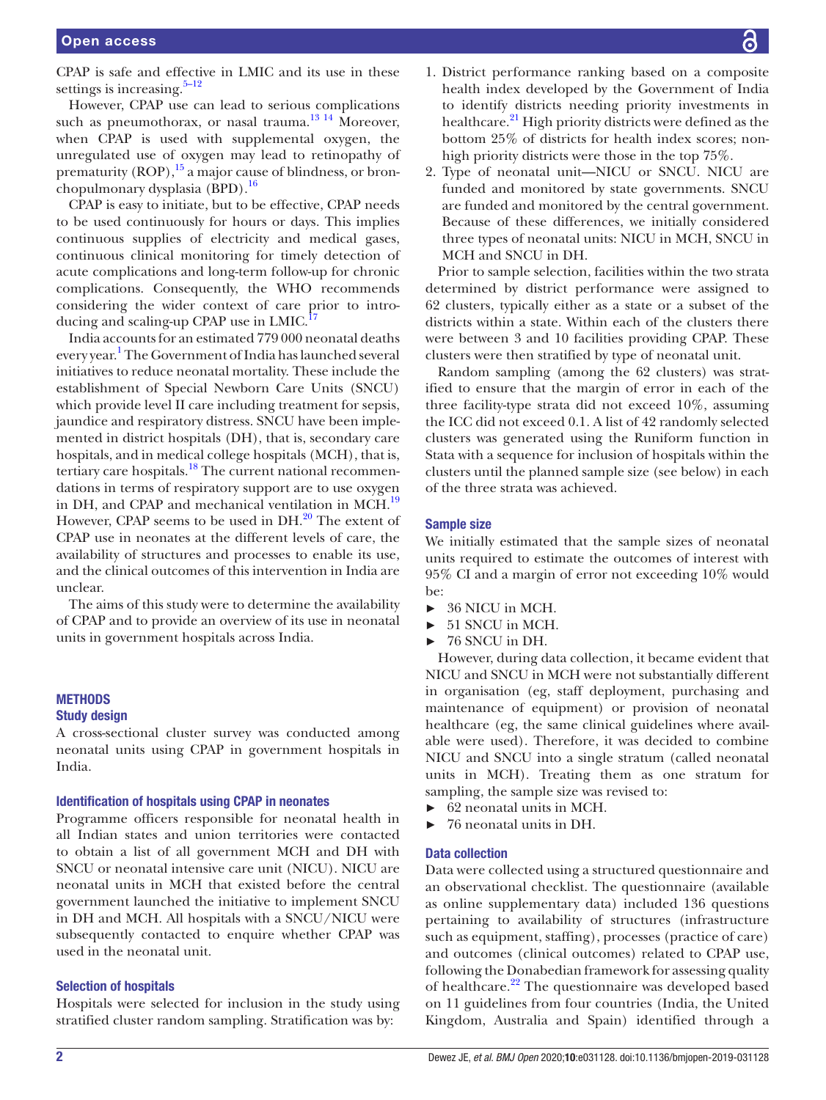CPAP is safe and effective in LMIC and its use in these settings is increasing. $5-12$ 

However, CPAP use can lead to serious complications such as pneumothorax, or nasal trauma.<sup>[13 14](#page-7-5)</sup> Moreover, when CPAP is used with supplemental oxygen, the unregulated use of oxygen may lead to retinopathy of prematurity  $(ROP)$ ,  $^{15}$  a major cause of blindness, or bronchopulmonary dysplasia  $(BPD)$ .<sup>[16](#page-7-7)</sup>

CPAP is easy to initiate, but to be effective, CPAP needs to be used continuously for hours or days. This implies continuous supplies of electricity and medical gases, continuous clinical monitoring for timely detection of acute complications and long-term follow-up for chronic complications. Consequently, the WHO recommends considering the wider context of care prior to introducing and scaling-up CPAP use in LMIC.<sup>1</sup>

India accounts for an estimated 779 000 neonatal deaths every year.<sup>[1](#page-7-0)</sup> The Government of India has launched several initiatives to reduce neonatal mortality. These include the establishment of Special Newborn Care Units (SNCU) which provide level II care including treatment for sepsis, jaundice and respiratory distress. SNCU have been implemented in district hospitals (DH), that is, secondary care hospitals, and in medical college hospitals (MCH), that is, tertiary care hospitals. $18$  The current national recommendations in terms of respiratory support are to use oxygen in DH, and CPAP and mechanical ventilation in MCH.<sup>19</sup> However, CPAP seems to be used in  $DH.<sup>20</sup>$  $DH.<sup>20</sup>$  $DH.<sup>20</sup>$  The extent of CPAP use in neonates at the different levels of care, the availability of structures and processes to enable its use, and the clinical outcomes of this intervention in India are unclear.

The aims of this study were to determine the availability of CPAP and to provide an overview of its use in neonatal units in government hospitals across India.

# **METHODS**

# Study design

A cross-sectional cluster survey was conducted among neonatal units using CPAP in government hospitals in India.

#### Identification of hospitals using CPAP in neonates

Programme officers responsible for neonatal health in all Indian states and union territories were contacted to obtain a list of all government MCH and DH with SNCU or neonatal intensive care unit (NICU). NICU are neonatal units in MCH that existed before the central government launched the initiative to implement SNCU in DH and MCH. All hospitals with a SNCU/NICU were subsequently contacted to enquire whether CPAP was used in the neonatal unit.

#### Selection of hospitals

Hospitals were selected for inclusion in the study using stratified cluster random sampling. Stratification was by:

- 1. District performance ranking based on a composite health index developed by the Government of India to identify districts needing priority investments in healthcare.<sup>21</sup> High priority districts were defined as the bottom 25% of districts for health index scores; nonhigh priority districts were those in the top 75%.
- 2. Type of neonatal unit—NICU or SNCU. NICU are funded and monitored by state governments. SNCU are funded and monitored by the central government. Because of these differences, we initially considered three types of neonatal units: NICU in MCH, SNCU in MCH and SNCU in DH.

Prior to sample selection, facilities within the two strata determined by district performance were assigned to 62 clusters, typically either as a state or a subset of the districts within a state. Within each of the clusters there were between 3 and 10 facilities providing CPAP. These clusters were then stratified by type of neonatal unit.

Random sampling (among the 62 clusters) was stratified to ensure that the margin of error in each of the three facility-type strata did not exceed 10%, assuming the ICC did not exceed 0.1. A list of 42 randomly selected clusters was generated using the Runiform function in Stata with a sequence for inclusion of hospitals within the clusters until the planned sample size (see below) in each of the three strata was achieved.

#### Sample size

We initially estimated that the sample sizes of neonatal units required to estimate the outcomes of interest with 95% CI and a margin of error not exceeding 10% would be:

- ► 36 NICU in MCH.
- ► 51 SNCU in MCH.
- ► 76 SNCU in DH.

However, during data collection, it became evident that NICU and SNCU in MCH were not substantially different in organisation (eg, staff deployment, purchasing and maintenance of equipment) or provision of neonatal healthcare (eg, the same clinical guidelines where available were used). Therefore, it was decided to combine NICU and SNCU into a single stratum (called neonatal units in MCH). Treating them as one stratum for sampling, the sample size was revised to:

- ► 62 neonatal units in MCH.
- ► 76 neonatal units in DH.

#### Data collection

Data were collected using a structured questionnaire and an observational checklist. The questionnaire (available as [online supplementary data](https://dx.doi.org/10.1136/bmjopen-2019-031128)) included 136 questions pertaining to availability of structures (infrastructure such as equipment, staffing), processes (practice of care) and outcomes (clinical outcomes) related to CPAP use, following the Donabedian framework for assessing quality of healthcare.<sup>[22](#page-7-13)</sup> The questionnaire was developed based on 11 guidelines from four countries (India, the United Kingdom, Australia and Spain) identified through a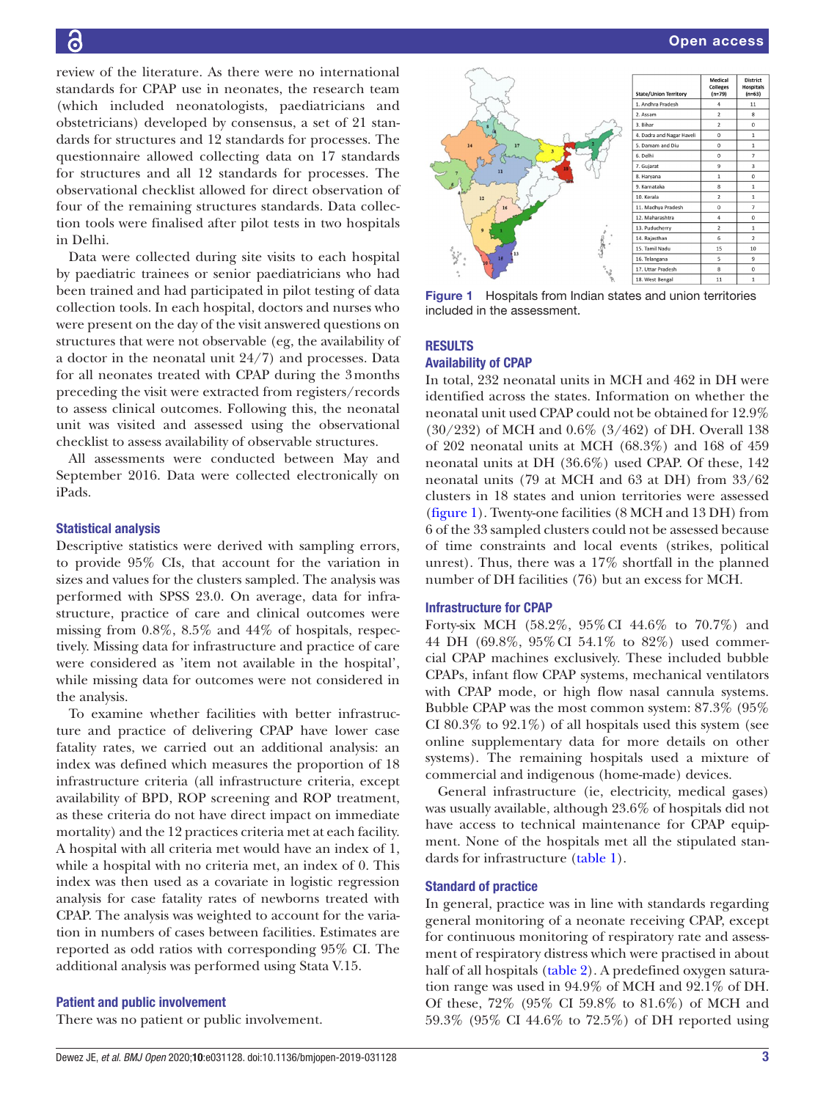review of the literature. As there were no international standards for CPAP use in neonates, the research team (which included neonatologists, paediatricians and obstetricians) developed by consensus, a set of 21 standards for structures and 12 standards for processes. The questionnaire allowed collecting data on 17 standards for structures and all 12 standards for processes. The observational checklist allowed for direct observation of four of the remaining structures standards. Data collection tools were finalised after pilot tests in two hospitals in Delhi.

Data were collected during site visits to each hospital by paediatric trainees or senior paediatricians who had been trained and had participated in pilot testing of data collection tools. In each hospital, doctors and nurses who were present on the day of the visit answered questions on structures that were not observable (eg, the availability of a doctor in the neonatal unit 24/7) and processes. Data for all neonates treated with CPAP during the 3months preceding the visit were extracted from registers/records to assess clinical outcomes. Following this, the neonatal unit was visited and assessed using the observational checklist to assess availability of observable structures.

All assessments were conducted between May and September 2016. Data were collected electronically on iPads.

#### Statistical analysis

Descriptive statistics were derived with sampling errors, to provide 95% CIs, that account for the variation in sizes and values for the clusters sampled. The analysis was performed with SPSS 23.0. On average, data for infrastructure, practice of care and clinical outcomes were missing from 0.8%, 8.5% and 44% of hospitals, respectively. Missing data for infrastructure and practice of care were considered as 'item not available in the hospital', while missing data for outcomes were not considered in the analysis.

To examine whether facilities with better infrastructure and practice of delivering CPAP have lower case fatality rates, we carried out an additional analysis: an index was defined which measures the proportion of 18 infrastructure criteria (all infrastructure criteria, except availability of BPD, ROP screening and ROP treatment, as these criteria do not have direct impact on immediate mortality) and the 12 practices criteria met at each facility. A hospital with all criteria met would have an index of 1, while a hospital with no criteria met, an index of 0. This index was then used as a covariate in logistic regression analysis for case fatality rates of newborns treated with CPAP. The analysis was weighted to account for the variation in numbers of cases between facilities. Estimates are reported as odd ratios with corresponding 95% CI. The additional analysis was performed using Stata V.15.

#### Patient and public involvement

There was no patient or public involvement.



<span id="page-2-0"></span>Figure 1 Hospitals from Indian states and union territories included in the assessment.

#### **RESULTS**

## Availability of CPAP

In total, 232 neonatal units in MCH and 462 in DH were identified across the states. Information on whether the neonatal unit used CPAP could not be obtained for 12.9% (30/232) of MCH and 0.6% (3/462) of DH. Overall 138 of 202 neonatal units at MCH (68.3%) and 168 of 459 neonatal units at DH (36.6%) used CPAP. Of these, 142 neonatal units (79 at MCH and 63 at DH) from 33/62 clusters in 18 states and union territories were assessed [\(figure](#page-2-0) 1). Twenty-one facilities (8 MCH and 13 DH) from 6 of the 33 sampled clusters could not be assessed because of time constraints and local events (strikes, political unrest). Thus, there was a 17% shortfall in the planned number of DH facilities (76) but an excess for MCH.

#### Infrastructure for CPAP

Forty-six MCH (58.2%, 95%CI 44.6% to 70.7%) and 44 DH (69.8%, 95%CI 54.1% to 82%) used commercial CPAP machines exclusively. These included bubble CPAPs, infant flow CPAP systems, mechanical ventilators with CPAP mode, or high flow nasal cannula systems. Bubble CPAP was the most common system: 87.3% (95% CI 80.3% to  $92.1\%$ ) of all hospitals used this system (see [online supplementary data](https://dx.doi.org/10.1136/bmjopen-2019-031128) for more details on other systems). The remaining hospitals used a mixture of commercial and indigenous (home-made) devices.

General infrastructure (ie, electricity, medical gases) was usually available, although 23.6% of hospitals did not have access to technical maintenance for CPAP equipment. None of the hospitals met all the stipulated standards for infrastructure ([table](#page-3-0) 1).

#### Standard of practice

In general, practice was in line with standards regarding general monitoring of a neonate receiving CPAP, except for continuous monitoring of respiratory rate and assessment of respiratory distress which were practised in about half of all hospitals ([table](#page-4-0) 2). A predefined oxygen saturation range was used in 94.9% of MCH and 92.1% of DH. Of these, 72% (95% CI 59.8% to 81.6%) of MCH and 59.3% (95% CI 44.6% to 72.5%) of DH reported using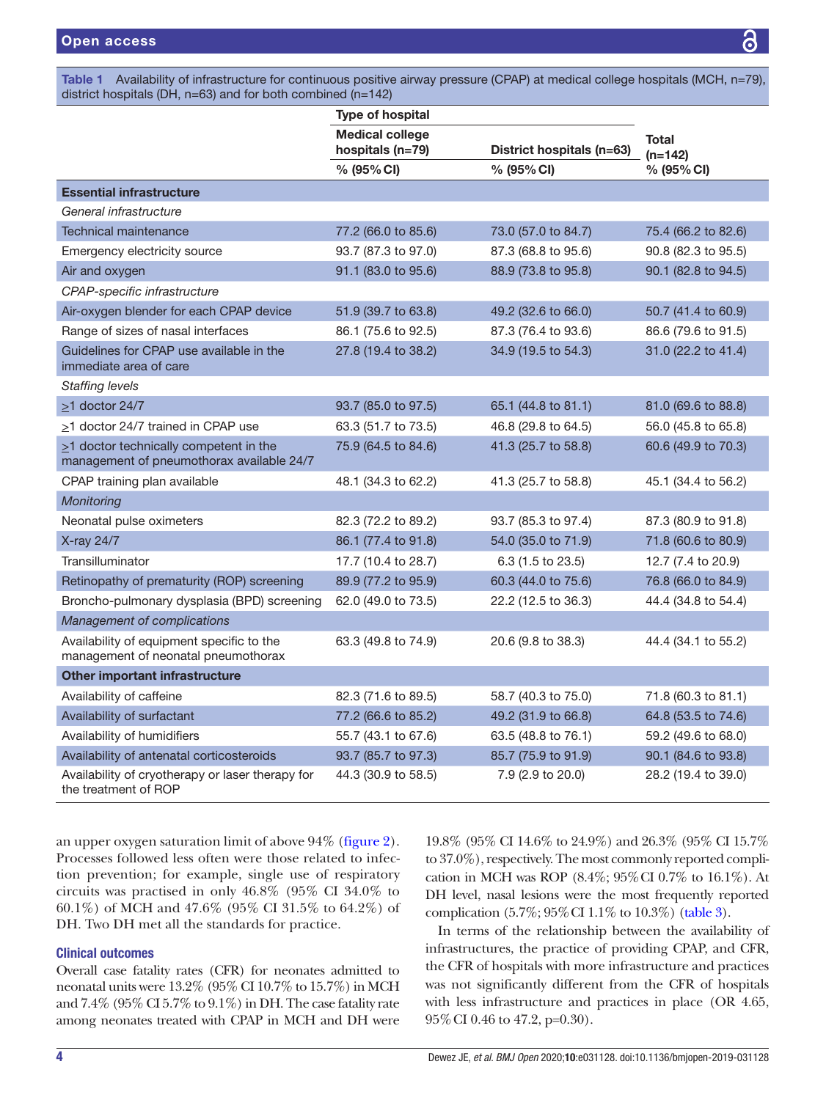#### <span id="page-3-0"></span>Table 1 Availability of infrastructure for continuous positive airway pressure (CPAP) at medical college hospitals (MCH, n=79), district hospitals (DH, n=63) and for both combined (n=142)

|                                                                                           | <b>Type of hospital</b>                    |                           |                     |
|-------------------------------------------------------------------------------------------|--------------------------------------------|---------------------------|---------------------|
|                                                                                           | <b>Medical college</b><br>hospitals (n=79) | District hospitals (n=63) | Total<br>$(n=142)$  |
|                                                                                           | % (95% CI)                                 | % (95% CI)                | % (95% CI)          |
| <b>Essential infrastructure</b>                                                           |                                            |                           |                     |
| General infrastructure                                                                    |                                            |                           |                     |
| <b>Technical maintenance</b>                                                              | 77.2 (66.0 to 85.6)                        | 73.0 (57.0 to 84.7)       | 75.4 (66.2 to 82.6) |
| Emergency electricity source                                                              | 93.7 (87.3 to 97.0)                        | 87.3 (68.8 to 95.6)       | 90.8 (82.3 to 95.5) |
| Air and oxygen                                                                            | 91.1 (83.0 to 95.6)                        | 88.9 (73.8 to 95.8)       | 90.1 (82.8 to 94.5) |
| CPAP-specific infrastructure                                                              |                                            |                           |                     |
| Air-oxygen blender for each CPAP device                                                   | 51.9 (39.7 to 63.8)                        | 49.2 (32.6 to 66.0)       | 50.7 (41.4 to 60.9) |
| Range of sizes of nasal interfaces                                                        | 86.1 (75.6 to 92.5)                        | 87.3 (76.4 to 93.6)       | 86.6 (79.6 to 91.5) |
| Guidelines for CPAP use available in the<br>immediate area of care                        | 27.8 (19.4 to 38.2)                        | 34.9 (19.5 to 54.3)       | 31.0 (22.2 to 41.4) |
| <b>Staffing levels</b>                                                                    |                                            |                           |                     |
| $\geq$ 1 doctor 24/7                                                                      | 93.7 (85.0 to 97.5)                        | 65.1 (44.8 to 81.1)       | 81.0 (69.6 to 88.8) |
| >1 doctor 24/7 trained in CPAP use                                                        | 63.3 (51.7 to 73.5)                        | 46.8 (29.8 to 64.5)       | 56.0 (45.8 to 65.8) |
| $\geq$ 1 doctor technically competent in the<br>management of pneumothorax available 24/7 | 75.9 (64.5 to 84.6)                        | 41.3 (25.7 to 58.8)       | 60.6 (49.9 to 70.3) |
| CPAP training plan available                                                              | 48.1 (34.3 to 62.2)                        | 41.3 (25.7 to 58.8)       | 45.1 (34.4 to 56.2) |
| Monitoring                                                                                |                                            |                           |                     |
| Neonatal pulse oximeters                                                                  | 82.3 (72.2 to 89.2)                        | 93.7 (85.3 to 97.4)       | 87.3 (80.9 to 91.8) |
| X-ray 24/7                                                                                | 86.1 (77.4 to 91.8)                        | 54.0 (35.0 to 71.9)       | 71.8 (60.6 to 80.9) |
| Transilluminator                                                                          | 17.7 (10.4 to 28.7)                        | 6.3 (1.5 to 23.5)         | 12.7 (7.4 to 20.9)  |
| Retinopathy of prematurity (ROP) screening                                                | 89.9 (77.2 to 95.9)                        | 60.3 (44.0 to 75.6)       | 76.8 (66.0 to 84.9) |
| Broncho-pulmonary dysplasia (BPD) screening                                               | 62.0 (49.0 to 73.5)                        | 22.2 (12.5 to 36.3)       | 44.4 (34.8 to 54.4) |
| Management of complications                                                               |                                            |                           |                     |
| Availability of equipment specific to the<br>management of neonatal pneumothorax          | 63.3 (49.8 to 74.9)                        | 20.6 (9.8 to 38.3)        | 44.4 (34.1 to 55.2) |
| Other important infrastructure                                                            |                                            |                           |                     |
| Availability of caffeine                                                                  | 82.3 (71.6 to 89.5)                        | 58.7 (40.3 to 75.0)       | 71.8 (60.3 to 81.1) |
| Availability of surfactant                                                                | 77.2 (66.6 to 85.2)                        | 49.2 (31.9 to 66.8)       | 64.8 (53.5 to 74.6) |
| Availability of humidifiers                                                               | 55.7 (43.1 to 67.6)                        | 63.5 (48.8 to 76.1)       | 59.2 (49.6 to 68.0) |
| Availability of antenatal corticosteroids                                                 | 93.7 (85.7 to 97.3)                        | 85.7 (75.9 to 91.9)       | 90.1 (84.6 to 93.8) |
| Availability of cryotherapy or laser therapy for<br>the treatment of ROP                  | 44.3 (30.9 to 58.5)                        | 7.9 (2.9 to 20.0)         | 28.2 (19.4 to 39.0) |

an upper oxygen saturation limit of above 94% [\(figure](#page-4-1) 2). Processes followed less often were those related to infection prevention; for example, single use of respiratory circuits was practised in only 46.8% (95% CI 34.0% to 60.1%) of MCH and 47.6% (95% CI 31.5% to 64.2%) of DH. Two DH met all the standards for practice.

## Clinical outcomes

Overall case fatality rates (CFR) for neonates admitted to neonatal units were 13.2% (95% CI 10.7% to 15.7%) in MCH and 7.4% (95% CI 5.7% to 9.1%) in DH. The case fatality rate among neonates treated with CPAP in MCH and DH were

19.8% (95% CI 14.6% to 24.9%) and 26.3% (95% CI 15.7% to 37.0%), respectively. The most commonly reported complication in MCH was ROP (8.4%; 95%CI 0.7% to 16.1%). At DH level, nasal lesions were the most frequently reported complication (5.7%; 95%CI 1.1% to 10.3%) ([table](#page-5-0) 3).

In terms of the relationship between the availability of infrastructures, the practice of providing CPAP, and CFR, the CFR of hospitals with more infrastructure and practices was not significantly different from the CFR of hospitals with less infrastructure and practices in place (OR 4.65, 95%CI 0.46 to 47.2, p=0.30).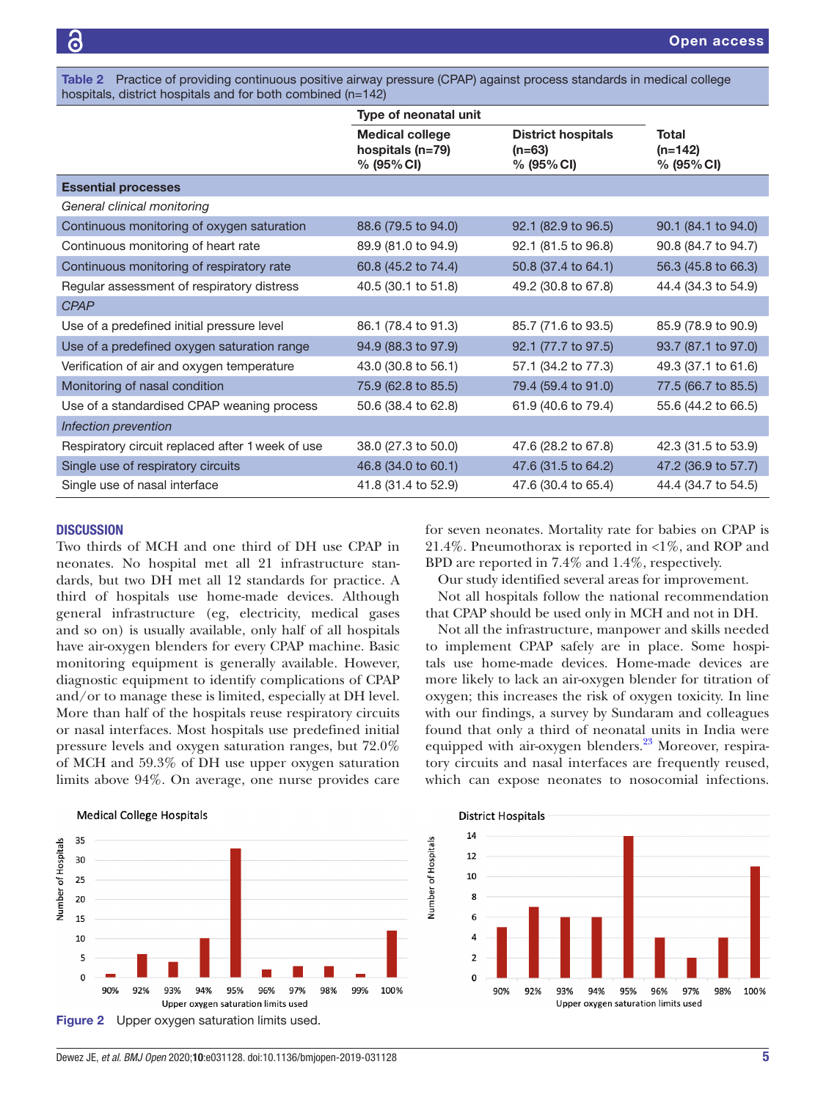<span id="page-4-0"></span>Table 2 Practice of providing continuous positive airway pressure (CPAP) against process standards in medical college hospitals, district hospitals and for both combined (n=142)

|                                                  | Type of neonatal unit                                    |                                                        |                                  |
|--------------------------------------------------|----------------------------------------------------------|--------------------------------------------------------|----------------------------------|
|                                                  | <b>Medical college</b><br>hospitals (n=79)<br>% (95% CI) | <b>District hospitals</b><br>$(n=63)$<br>$% (95\% CI)$ | Total<br>$(n=142)$<br>% (95% CI) |
| <b>Essential processes</b>                       |                                                          |                                                        |                                  |
| General clinical monitoring                      |                                                          |                                                        |                                  |
| Continuous monitoring of oxygen saturation       | 88.6 (79.5 to 94.0)                                      | 92.1 (82.9 to 96.5)                                    | 90.1 (84.1 to 94.0)              |
| Continuous monitoring of heart rate              | 89.9 (81.0 to 94.9)                                      | 92.1 (81.5 to 96.8)                                    | 90.8 (84.7 to 94.7)              |
| Continuous monitoring of respiratory rate        | 60.8 (45.2 to 74.4)                                      | 50.8 (37.4 to 64.1)                                    | 56.3 (45.8 to 66.3)              |
| Regular assessment of respiratory distress       | 40.5 (30.1 to 51.8)                                      | 49.2 (30.8 to 67.8)                                    | 44.4 (34.3 to 54.9)              |
| <b>CPAP</b>                                      |                                                          |                                                        |                                  |
| Use of a predefined initial pressure level       | 86.1 (78.4 to 91.3)                                      | 85.7 (71.6 to 93.5)                                    | 85.9 (78.9 to 90.9)              |
| Use of a predefined oxygen saturation range      | 94.9 (88.3 to 97.9)                                      | 92.1 (77.7 to 97.5)                                    | 93.7 (87.1 to 97.0)              |
| Verification of air and oxygen temperature       | 43.0 (30.8 to 56.1)                                      | 57.1 (34.2 to 77.3)                                    | 49.3 (37.1 to 61.6)              |
| Monitoring of nasal condition                    | 75.9 (62.8 to 85.5)                                      | 79.4 (59.4 to 91.0)                                    | 77.5 (66.7 to 85.5)              |
| Use of a standardised CPAP weaning process       | 50.6 (38.4 to 62.8)                                      | 61.9 (40.6 to 79.4)                                    | 55.6 (44.2 to 66.5)              |
| Infection prevention                             |                                                          |                                                        |                                  |
| Respiratory circuit replaced after 1 week of use | 38.0 (27.3 to 50.0)                                      | 47.6 (28.2 to 67.8)                                    | 42.3 (31.5 to 53.9)              |
| Single use of respiratory circuits               | 46.8 (34.0 to 60.1)                                      | 47.6 (31.5 to 64.2)                                    | 47.2 (36.9 to 57.7)              |
| Single use of nasal interface                    | 41.8 (31.4 to 52.9)                                      | 47.6 (30.4 to 65.4)                                    | 44.4 (34.7 to 54.5)              |

#### **DISCUSSION**

Two thirds of MCH and one third of DH use CPAP in neonates. No hospital met all 21 infrastructure standards, but two DH met all 12 standards for practice. A third of hospitals use home-made devices. Although general infrastructure (eg, electricity, medical gases and so on) is usually available, only half of all hospitals have air-oxygen blenders for every CPAP machine. Basic monitoring equipment is generally available. However, diagnostic equipment to identify complications of CPAP and/or to manage these is limited, especially at DH level. More than half of the hospitals reuse respiratory circuits or nasal interfaces. Most hospitals use predefined initial pressure levels and oxygen saturation ranges, but 72.0% of MCH and 59.3% of DH use upper oxygen saturation limits above 94%. On average, one nurse provides care

for seven neonates. Mortality rate for babies on CPAP is 21.4%. Pneumothorax is reported in  $\langle 1\% \rangle$ , and ROP and BPD are reported in 7.4% and 1.4%, respectively. Our study identified several areas for improvement.

Not all hospitals follow the national recommendation that CPAP should be used only in MCH and not in DH.

Not all the infrastructure, manpower and skills needed to implement CPAP safely are in place. Some hospitals use home-made devices. Home-made devices are more likely to lack an air-oxygen blender for titration of oxygen; this increases the risk of oxygen toxicity. In line with our findings, a survey by Sundaram and colleagues found that only a third of neonatal units in India were equipped with air-oxygen blenders.<sup>23</sup> Moreover, respiratory circuits and nasal interfaces are frequently reused, which can expose neonates to nosocomial infections.

<span id="page-4-1"></span>

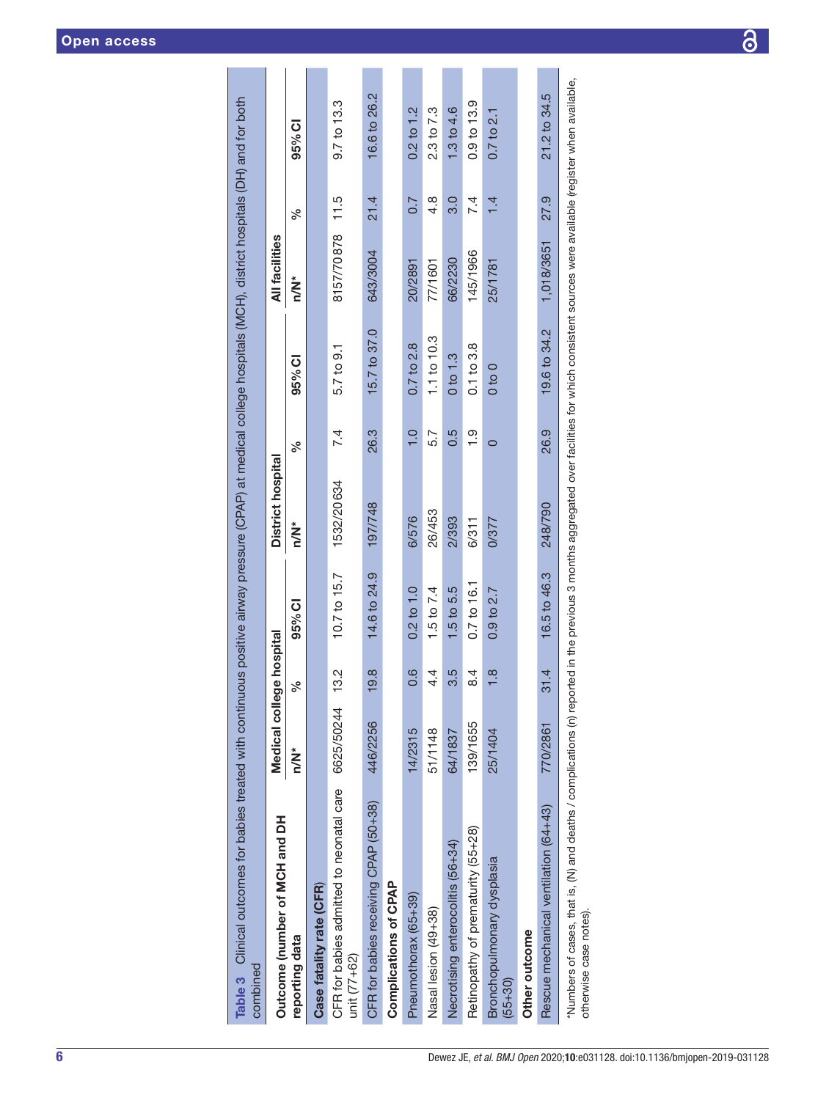<span id="page-5-0"></span>

| Table 3 Clinical outcomes for babies treated with continuous positive airway pressure (CPAP) at medical college hospitals (MCH), district hospitals (DH) and for both<br>combined                                          |                          |               |                |                   |               |                     |                 |      |                        |
|----------------------------------------------------------------------------------------------------------------------------------------------------------------------------------------------------------------------------|--------------------------|---------------|----------------|-------------------|---------------|---------------------|-----------------|------|------------------------|
| Outcome (number of MCH and DH                                                                                                                                                                                              | Medical college hospital |               |                | District hospital |               |                     | All facilities  |      |                        |
| reporting data                                                                                                                                                                                                             | n/N*                     | ್ಗೆ           | 95% CI         | $\sum_{i=1}^{n}$  | వ్            | 95% CI              | n/N*            | వ్   | 95% CI                 |
| Case fatality rate (CFR)                                                                                                                                                                                                   |                          |               |                |                   |               |                     |                 |      |                        |
| CFR for babies admitted to neonatal care<br>unit $(77+62)$                                                                                                                                                                 | 6625/50244 13.2          |               | 10.7 to 15.7   | 1532/20634        | 7.4           | 5.7 to 9.1          | 8157/70878 11.5 |      | 9.7 <sub>to</sub> 13.3 |
| CFR for babies receiving CPAP (50+38)                                                                                                                                                                                      | 446/2256                 | 19.8          | 14.6 to 24.9   | 197/748           | 26.3          | 15.7 to 37.0        | 643/3004        | 21.4 | 16.6 to 26.2           |
| Complications of CPAP                                                                                                                                                                                                      |                          |               |                |                   |               |                     |                 |      |                        |
| Pneumothorax (65+39)                                                                                                                                                                                                       | 14/2315                  | 0.6           | $0.2$ to $1.0$ | 6/576             | $\frac{1}{1}$ | $0.7$ to $2.8$      | 20/2891         | 0.7  | $0.2$ to $1.2$         |
| Nasal lesion (49+38)                                                                                                                                                                                                       | 51/1148                  | 4.4           | 1.5 to 7.4     | 26/453            | 5.7           | $1.1$ to $10.3$     | 77/1601         | 4.8  | 2.3 to 7.3             |
| Necrotising enterocolitis (56+34)                                                                                                                                                                                          | 64/1837                  | 3.5           | 1.5 to 5.5     | 2/393             | 0.5           | 0 <sub>to 1.3</sub> | 66/2230         | 3.0  | 1.3 to 4.6             |
| Retinopathy of prematurity (55+28)                                                                                                                                                                                         | 139/1655                 | 8.4           | 0.7 to 16.1    | 6/311             | $\frac{1}{1}$ | 0.1 to 3.8          | 145/1966        | 7.4  | 0.9 to 13.9            |
| Bronchopulmonary dysplasia<br>$(55+30)$                                                                                                                                                                                    | 25/1404                  | $\frac{8}{1}$ | $0.9$ to $2.7$ | 0/377             | $\circ$       | 0 <sub>to</sub>     | 25/1781         | 1.4  | $0.7$ to $2.1$         |
| Other outcome                                                                                                                                                                                                              |                          |               |                |                   |               |                     |                 |      |                        |
| Rescue mechanical ventilation (64+43)                                                                                                                                                                                      | 770/2861                 | 31.4          | 16.5 to 46.3   | 248/790           | 26.9          | 19.6 to 34.2        | 1,018/3651      | 27.9 | 21.2 to 34.5           |
| Numbers of cases, that is, (N) and deaths / complications (n) reported in the previous 3 months aggregated over facilities for which consistent sources were available (register when available,<br>otherwise case notes). |                          |               |                |                   |               |                     |                 |      |                        |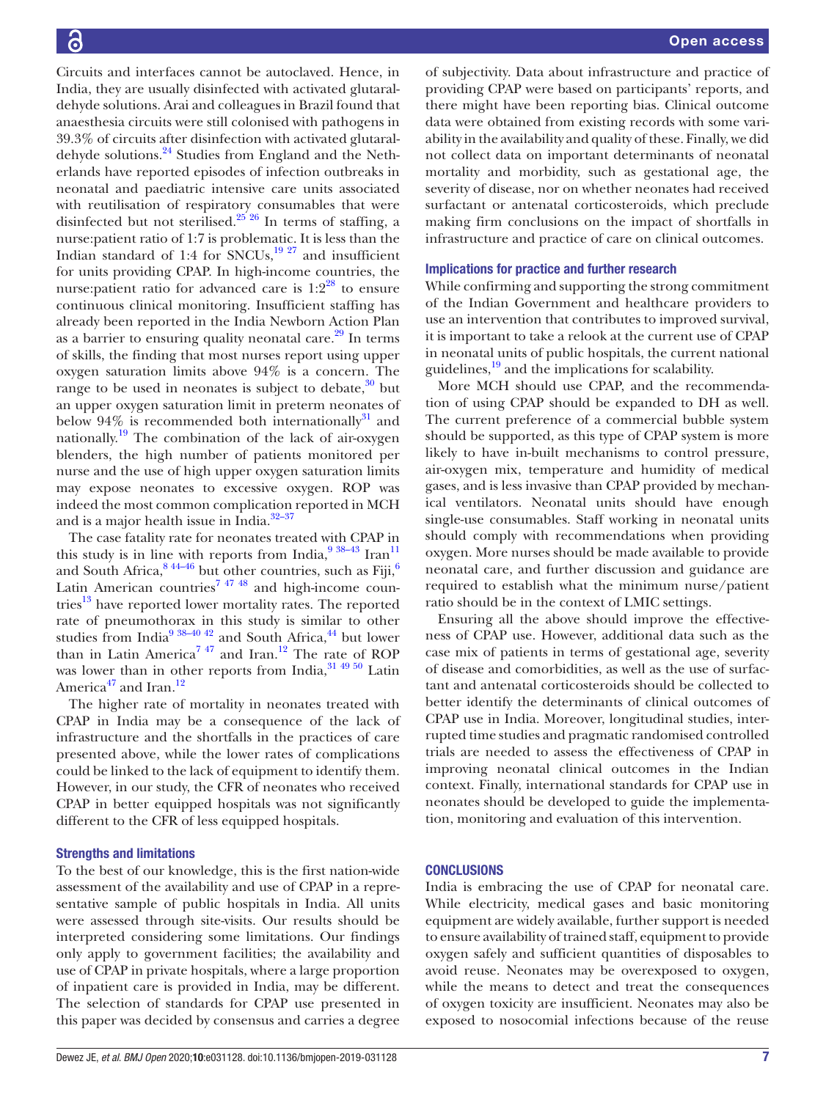Circuits and interfaces cannot be autoclaved. Hence, in India, they are usually disinfected with activated glutaraldehyde solutions. Arai and colleagues in Brazil found that anaesthesia circuits were still colonised with pathogens in 39.3% of circuits after disinfection with activated glutaraldehyde solutions[.24](#page-7-15) Studies from England and the Netherlands have reported episodes of infection outbreaks in neonatal and paediatric intensive care units associated with reutilisation of respiratory consumables that were disinfected but not sterilised.<sup>25'26</sup> In terms of staffing, a nurse:patient ratio of 1:7 is problematic. It is less than the Indian standard of 1:4 for  $SNCUs$ ,<sup>19 27</sup> and insufficient for units providing CPAP. In high-income countries, the nurse: patient ratio for advanced care is  $1:2^{28}$  to ensure continuous clinical monitoring. Insufficient staffing has already been reported in the India Newborn Action Plan as a barrier to ensuring quality neonatal care. $^{29}$  $^{29}$  $^{29}$  In terms of skills, the finding that most nurses report using upper oxygen saturation limits above 94% is a concern. The range to be used in neonates is subject to debate,  $30$  but an upper oxygen saturation limit in preterm neonates of below  $94\%$  is recommended both internationally<sup>31</sup> and nationally.<sup>[19](#page-7-10)</sup> The combination of the lack of air-oxygen blenders, the high number of patients monitored per nurse and the use of high upper oxygen saturation limits may expose neonates to excessive oxygen. ROP was indeed the most common complication reported in MCH and is a major health issue in India.[32–37](#page-8-3)

The case fatality rate for neonates treated with CPAP in this study is in line with reports from India,  $9^{38-43}$  Iran<sup>11</sup> and South Africa,  $844-46$  $844-46$  but other countries, such as Fiji,  $6$ Latin American countries<sup>7</sup>  $47\frac{48}{10}$  and high-income countries $^{13}$  have reported lower mortality rates. The reported rate of pneumothorax in this study is similar to other studies from India $^{9}$   $^{38-40}$   $^{42}$  and South Africa, $^{44}$  but lower than in Latin America<sup>747</sup> and Iran.<sup>[12](#page-7-23)</sup> The rate of ROP was lower than in other reports from India, $31\frac{49\frac{50}{2}}{1}$  Latin America<sup>47</sup> and Iran.<sup>[12](#page-7-23)</sup>

The higher rate of mortality in neonates treated with CPAP in India may be a consequence of the lack of infrastructure and the shortfalls in the practices of care presented above, while the lower rates of complications could be linked to the lack of equipment to identify them. However, in our study, the CFR of neonates who received CPAP in better equipped hospitals was not significantly different to the CFR of less equipped hospitals.

## Strengths and limitations

To the best of our knowledge, this is the first nation-wide assessment of the availability and use of CPAP in a representative sample of public hospitals in India. All units were assessed through site-visits. Our results should be interpreted considering some limitations. Our findings only apply to government facilities; the availability and use of CPAP in private hospitals, where a large proportion of inpatient care is provided in India, may be different. The selection of standards for CPAP use presented in this paper was decided by consensus and carries a degree

of subjectivity. Data about infrastructure and practice of providing CPAP were based on participants' reports, and there might have been reporting bias. Clinical outcome data were obtained from existing records with some variability in the availability and quality of these. Finally, we did not collect data on important determinants of neonatal mortality and morbidity, such as gestational age, the severity of disease, nor on whether neonates had received surfactant or antenatal corticosteroids, which preclude making firm conclusions on the impact of shortfalls in infrastructure and practice of care on clinical outcomes.

#### Implications for practice and further research

While confirming and supporting the strong commitment of the Indian Government and healthcare providers to use an intervention that contributes to improved survival, it is important to take a relook at the current use of CPAP in neonatal units of public hospitals, the current national guidelines,<sup>19</sup> and the implications for scalability.

More MCH should use CPAP, and the recommendation of using CPAP should be expanded to DH as well. The current preference of a commercial bubble system should be supported, as this type of CPAP system is more likely to have in-built mechanisms to control pressure, air-oxygen mix, temperature and humidity of medical gases, and is less invasive than CPAP provided by mechanical ventilators. Neonatal units should have enough single-use consumables. Staff working in neonatal units should comply with recommendations when providing oxygen. More nurses should be made available to provide neonatal care, and further discussion and guidance are required to establish what the minimum nurse/patient ratio should be in the context of LMIC settings.

Ensuring all the above should improve the effectiveness of CPAP use. However, additional data such as the case mix of patients in terms of gestational age, severity of disease and comorbidities, as well as the use of surfactant and antenatal corticosteroids should be collected to better identify the determinants of clinical outcomes of CPAP use in India. Moreover, longitudinal studies, interrupted time studies and pragmatic randomised controlled trials are needed to assess the effectiveness of CPAP in improving neonatal clinical outcomes in the Indian context. Finally, international standards for CPAP use in neonates should be developed to guide the implementation, monitoring and evaluation of this intervention.

## **CONCLUSIONS**

India is embracing the use of CPAP for neonatal care. While electricity, medical gases and basic monitoring equipment are widely available, further support is needed to ensure availability of trained staff, equipment to provide oxygen safely and sufficient quantities of disposables to avoid reuse. Neonates may be overexposed to oxygen, while the means to detect and treat the consequences of oxygen toxicity are insufficient. Neonates may also be exposed to nosocomial infections because of the reuse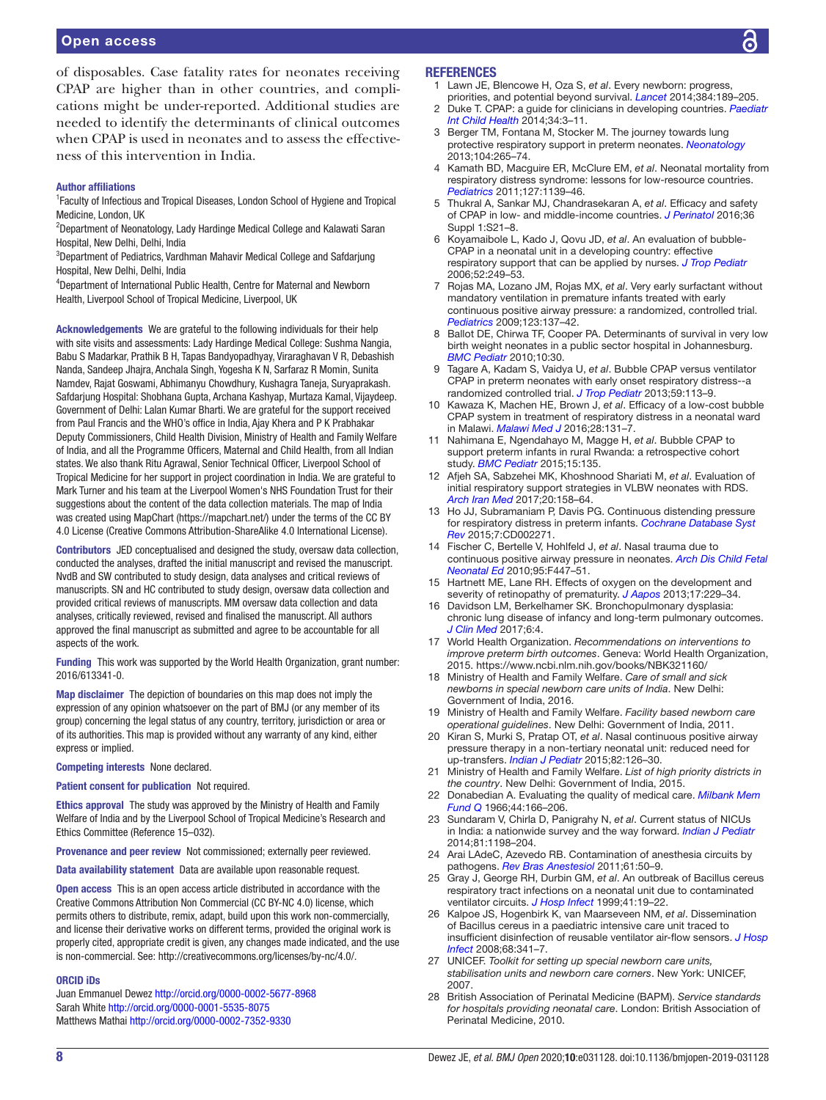of disposables. Case fatality rates for neonates receiving CPAP are higher than in other countries, and complications might be under-reported. Additional studies are needed to identify the determinants of clinical outcomes when CPAP is used in neonates and to assess the effectiveness of this intervention in India.

#### Author affiliations

<sup>1</sup> Faculty of Infectious and Tropical Diseases, London School of Hygiene and Tropical Medicine, London, UK

<sup>2</sup>Department of Neonatology, Lady Hardinge Medical College and Kalawati Saran Hospital, New Delhi, Delhi, India

<sup>3</sup>Department of Pediatrics, Vardhman Mahavir Medical College and Safdarjung Hospital, New Delhi, Delhi, India

4 Department of International Public Health, Centre for Maternal and Newborn Health, Liverpool School of Tropical Medicine, Liverpool, UK

Acknowledgements We are grateful to the following individuals for their help with site visits and assessments: Lady Hardinge Medical College: Sushma Nangia, Babu S Madarkar, Prathik B H, Tapas Bandyopadhyay, Viraraghavan V R, Debashish Nanda, Sandeep Jhajra, Anchala Singh, Yogesha K N, Sarfaraz R Momin, Sunita Namdev, Rajat Goswami, Abhimanyu Chowdhury, Kushagra Taneja, Suryaprakash. Safdarjung Hospital: Shobhana Gupta, Archana Kashyap, Murtaza Kamal, Vijaydeep. Government of Delhi: Lalan Kumar Bharti. We are grateful for the support received from Paul Francis and the WHO's office in India, Ajay Khera and P K Prabhakar Deputy Commissioners, Child Health Division, Ministry of Health and Family Welfare of India, and all the Programme Officers, Maternal and Child Health, from all Indian states. We also thank Ritu Agrawal, Senior Technical Officer, Liverpool School of Tropical Medicine for her support in project coordination in India. We are grateful to Mark Turner and his team at the Liverpool Women's NHS Foundation Trust for their suggestions about the content of the data collection materials. The map of India was created using MapChart [\(https://mapchart.net/](https://mapchart.net/)) under the terms of the CC BY 4.0 License (Creative Commons Attribution-ShareAlike 4.0 International License).

Contributors JED conceptualised and designed the study, oversaw data collection, conducted the analyses, drafted the initial manuscript and revised the manuscript. NvdB and SW contributed to study design, data analyses and critical reviews of manuscripts. SN and HC contributed to study design, oversaw data collection and provided critical reviews of manuscripts. MM oversaw data collection and data analyses, critically reviewed, revised and finalised the manuscript. All authors approved the final manuscript as submitted and agree to be accountable for all aspects of the work.

Funding This work was supported by the World Health Organization, grant number: 2016/613341-0.

Map disclaimer The depiction of boundaries on this map does not imply the expression of any opinion whatsoever on the part of BMJ (or any member of its group) concerning the legal status of any country, territory, jurisdiction or area or of its authorities. This map is provided without any warranty of any kind, either express or implied.

Competing interests None declared.

Patient consent for publication Not required.

Ethics approval The study was approved by the Ministry of Health and Family Welfare of India and by the Liverpool School of Tropical Medicine's Research and Ethics Committee (Reference 15–032).

Provenance and peer review Not commissioned; externally peer reviewed.

Data availability statement Data are available upon reasonable request.

Open access This is an open access article distributed in accordance with the Creative Commons Attribution Non Commercial (CC BY-NC 4.0) license, which permits others to distribute, remix, adapt, build upon this work non-commercially, and license their derivative works on different terms, provided the original work is properly cited, appropriate credit is given, any changes made indicated, and the use is non-commercial. See: [http://creativecommons.org/licenses/by-nc/4.0/.](http://creativecommons.org/licenses/by-nc/4.0/)

#### ORCID iDs

Juan Emmanuel Dewez <http://orcid.org/0000-0002-5677-8968> Sarah White<http://orcid.org/0000-0001-5535-8075> Matthews Mathai <http://orcid.org/0000-0002-7352-9330>

#### <span id="page-7-0"></span>**REFERENCES**

Lawn JE, Blencowe H, Oza S, et al. Every newborn: progress,

- <span id="page-7-1"></span>priorities, and potential beyond survival. *[Lancet](http://dx.doi.org/10.1016/S0140-6736(14)60496-7)* 2014;384:189–205. 2 Duke T. CPAP: a guide for clinicians in developing countries. *[Paediatr](http://dx.doi.org/10.1179/2046905513Y.0000000102)  [Int Child Health](http://dx.doi.org/10.1179/2046905513Y.0000000102)* 2014;34:3–11.
- <span id="page-7-2"></span>3 Berger TM, Fontana M, Stocker M. The journey towards lung protective respiratory support in preterm neonates. *[Neonatology](http://dx.doi.org/10.1159/000354419)* 2013;104:265–74.
- <span id="page-7-3"></span>4 Kamath BD, Macguire ER, McClure EM, *et al*. Neonatal mortality from respiratory distress syndrome: lessons for low-resource countries. *[Pediatrics](http://dx.doi.org/10.1542/peds.2010-3212)* 2011;127:1139–46.
- <span id="page-7-4"></span>5 Thukral A, Sankar MJ, Chandrasekaran A, *et al*. Efficacy and safety of CPAP in low- and middle-income countries. *[J Perinatol](http://dx.doi.org/10.1038/jp.2016.29)* 2016;36 Suppl 1:S21–8.
- <span id="page-7-21"></span>6 Koyamaibole L, Kado J, Qovu JD, *et al*. An evaluation of bubble-CPAP in a neonatal unit in a developing country: effective respiratory support that can be applied by nurses. *[J Trop Pediatr](http://dx.doi.org/10.1093/tropej/fmi109)* 2006;52:249–53.
- <span id="page-7-22"></span>7 Rojas MA, Lozano JM, Rojas MX, *et al*. Very early surfactant without mandatory ventilation in premature infants treated with early continuous positive airway pressure: a randomized, controlled trial. *[Pediatrics](http://dx.doi.org/10.1542/peds.2007-3501)* 2009;123:137–42.
- <span id="page-7-20"></span>8 Ballot DE, Chirwa TF, Cooper PA. Determinants of survival in very low birth weight neonates in a public sector hospital in Johannesburg. *[BMC Pediatr](http://dx.doi.org/10.1186/1471-2431-10-30)* 2010;10:30.
- <span id="page-7-18"></span>9 Tagare A, Kadam S, Vaidya U, *et al*. Bubble CPAP versus ventilator CPAP in preterm neonates with early onset respiratory distress--a randomized controlled trial. *[J Trop Pediatr](http://dx.doi.org/10.1093/tropej/fms061)* 2013;59:113–9.
- 10 Kawaza K, Machen HE, Brown J, *et al*. Efficacy of a low-cost bubble CPAP system in treatment of respiratory distress in a neonatal ward in Malawi. *[Malawi Med J](http://www.ncbi.nlm.nih.gov/pubmed/27895847)* 2016;28:131–7.
- <span id="page-7-19"></span>11 Nahimana E, Ngendahayo M, Magge H, *et al*. Bubble CPAP to support preterm infants in rural Rwanda: a retrospective cohort study. *[BMC Pediatr](http://dx.doi.org/10.1186/s12887-015-0449-x)* 2015;15:135.
- <span id="page-7-23"></span>12 Afjeh SA, Sabzehei MK, Khoshnood Shariati M, *et al*. Evaluation of initial respiratory support strategies in VLBW neonates with RDS. *[Arch Iran Med](http://dx.doi.org/0172003/AIM.008)* 2017;20:158–64.
- <span id="page-7-5"></span>13 Ho JJ, Subramaniam P, Davis PG. Continuous distending pressure for respiratory distress in preterm infants. *[Cochrane Database Syst](http://dx.doi.org/10.1002/14651858.CD002271.pub2)  [Rev](http://dx.doi.org/10.1002/14651858.CD002271.pub2)* 2015;7:CD002271.
- 14 Fischer C, Bertelle V, Hohlfeld J, *et al*. Nasal trauma due to continuous positive airway pressure in neonates. *[Arch Dis Child Fetal](http://dx.doi.org/10.1136/adc.2009.179416)  [Neonatal Ed](http://dx.doi.org/10.1136/adc.2009.179416)* 2010;95:F447–51.
- <span id="page-7-6"></span>15 Hartnett ME, Lane RH. Effects of oxygen on the development and severity of retinopathy of prematurity. *[J Aapos](http://dx.doi.org/10.1016/j.jaapos.2012.12.155)* 2013;17:229–34.
- <span id="page-7-7"></span>16 Davidson LM, Berkelhamer SK. Bronchopulmonary dysplasia: chronic lung disease of infancy and long-term pulmonary outcomes. *[J Clin Med](http://dx.doi.org/10.3390/jcm6010004)* 2017;6:4.
- <span id="page-7-8"></span>17 World Health Organization. *Recommendations on interventions to improve preterm birth outcomes*. Geneva: World Health Organization, 2015. <https://www.ncbi.nlm.nih.gov/books/NBK321160/>
- <span id="page-7-9"></span>18 Ministry of Health and Family Welfare. *Care of small and sick newborns in special newborn care units of India*. New Delhi: Government of India, 2016.
- <span id="page-7-10"></span>19 Ministry of Health and Family Welfare. *Facility based newborn care operational guidelines*. New Delhi: Government of India, 2011.
- <span id="page-7-11"></span>20 Kiran S, Murki S, Pratap OT, *et al*. Nasal continuous positive airway pressure therapy in a non-tertiary neonatal unit: reduced need for up-transfers. *[Indian J Pediatr](http://dx.doi.org/10.1007/s12098-014-1484-6)* 2015;82:126–30.
- <span id="page-7-12"></span>21 Ministry of Health and Family Welfare. *List of high priority districts in the country*. New Delhi: Government of India, 2015.
- <span id="page-7-13"></span>22 Donabedian A. Evaluating the quality of medical care. *[Milbank Mem](http://dx.doi.org/10.2307/3348969)  [Fund Q](http://dx.doi.org/10.2307/3348969)* 1966;44:166–206.
- <span id="page-7-14"></span>23 Sundaram V, Chirla D, Panigrahy N, *et al*. Current status of NICUs in India: a nationwide survey and the way forward. *[Indian J Pediatr](http://dx.doi.org/10.1007/s12098-014-1489-1)* 2014;81:1198–204.
- <span id="page-7-15"></span>24 Arai LAdeC, Azevedo RB. Contamination of anesthesia circuits by pathogens. *[Rev Bras Anestesiol](http://dx.doi.org/10.1016/S0034-7094(11)70006-X)* 2011;61:50–9.
- <span id="page-7-16"></span>25 Gray J, George RH, Durbin GM, *et al*. An outbreak of Bacillus cereus respiratory tract infections on a neonatal unit due to contaminated ventilator circuits. *[J Hosp Infect](http://dx.doi.org/10.1016/S0195-6701(99)90032-4)* 1999;41:19–22.
- 26 Kalpoe JS, Hogenbirk K, van Maarseveen NM, *et al*. Dissemination of Bacillus cereus in a paediatric intensive care unit traced to insufficient disinfection of reusable ventilator air-flow sensors. *[J Hosp](http://dx.doi.org/10.1016/j.jhin.2008.01.017)  [Infect](http://dx.doi.org/10.1016/j.jhin.2008.01.017)* 2008;68:341–7.
- 27 UNICEF. *Toolkit for setting up special newborn care units, stabilisation units and newborn care corners*. New York: UNICEF, 2007.
- <span id="page-7-17"></span>28 British Association of Perinatal Medicine (BAPM). *Service standards for hospitals providing neonatal care*. London: British Association of Perinatal Medicine, 2010.